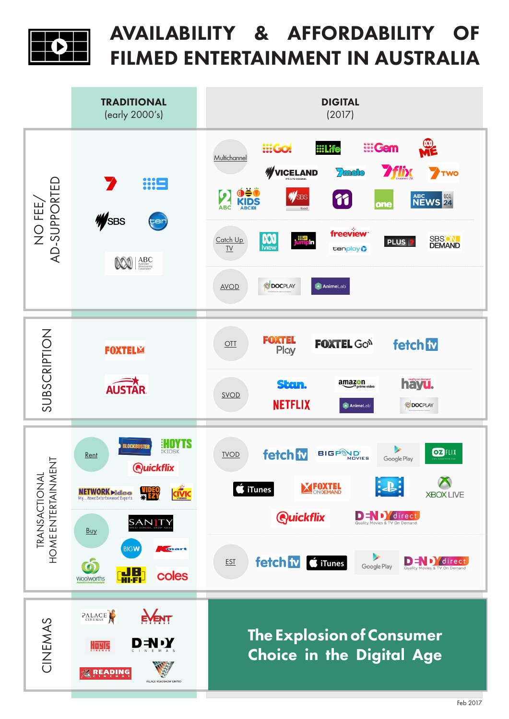

## AVAILABILITY & AFFORDABILITY OF FILMED ENTERTAINMENT IN AUSTRALIA